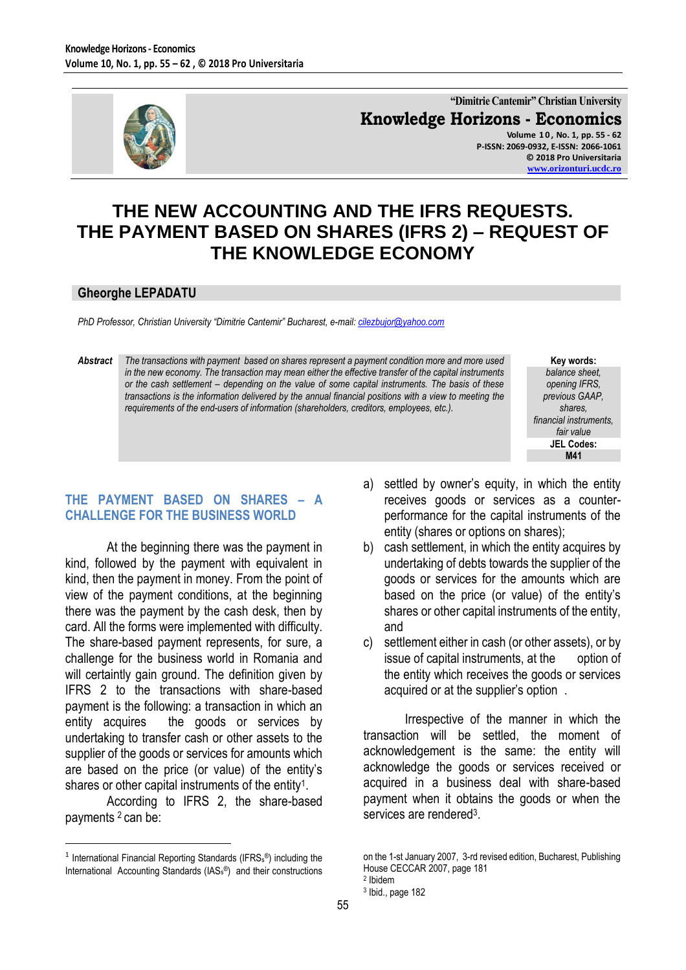

**"Dimitrie Cantemir" Christian University Knowledge Horizons - Economics Volume 1 0 , No. 1, pp. 55 - 62 P-ISSN: 2069-0932, E-ISSN: 2066-1061 © 2018 Pro Universitaria**

**[www.orizonturi.ucdc.ro](http://www.orizonturi.ucdc.ro/)**

# **THE NEW ACCOUNTING AND THE IFRS REQUESTS. THE PAYMENT BASED ON SHARES (IFRS 2) – REQUEST OF THE KNOWLEDGE ECONOMY**

#### **Gheorghe LEPADATU**

*PhD Professor, Christian University "Dimitrie Cantemir" Bucharest, e-mail[: cilezbujor@yahoo.com](mailto:cilezbujor@yahoo.com)*

*Abstract The transactions with payment based on shares represent a payment condition more and more used in the new economy. The transaction may mean either the effective transfer of the capital instruments or the cash settlement – depending on the value of some capital instruments. The basis of these transactions is the information delivered by the annual financial positions with a view to meeting the requirements of the end-users of information (shareholders, creditors, employees, etc.).*

**Key words:** *balance sheet, opening IFRS, previous GAAP, shares, financial instruments, fair value* **JEL Codes: M41**

## **THE PAYMENT BASED ON SHARES – A CHALLENGE FOR THE BUSINESS WORLD**

At the beginning there was the payment in kind, followed by the payment with equivalent in kind, then the payment in money. From the point of view of the payment conditions, at the beginning there was the payment by the cash desk, then by card. All the forms were implemented with difficulty. The share-based payment represents, for sure, a challenge for the business world in Romania and will certaintly gain ground. The definition given by IFRS 2 to the transactions with share-based payment is the following: a transaction in which an entity acquires the goods or services by undertaking to transfer cash or other assets to the supplier of the goods or services for amounts which are based on the price (or value) of the entity's shares or other capital instruments of the entity<sup>1</sup>.

According to IFRS 2, the share-based payments <sup>2</sup> can be:

 $\overline{a}$ 

- a) settled by owner's equity, in which the entity receives goods or services as a counterperformance for the capital instruments of the entity (shares or options on shares);
- b) cash settlement, in which the entity acquires by undertaking of debts towards the supplier of the goods or services for the amounts which are based on the price (or value) of the entity's shares or other capital instruments of the entity, and
- c) settlement either in cash (or other assets), or by issue of capital instruments, at the option of the entity which receives the goods or services acquired or at the supplier's option .

Irrespective of the manner in which the transaction will be settled, the moment of acknowledgement is the same: the entity will acknowledge the goods or services received or acquired in a business deal with share-based payment when it obtains the goods or when the services are rendered<sup>3</sup>.

<sup>&</sup>lt;sup>1</sup> International Financial Reporting Standards (IFRS<sub>s</sub>®) including the International Accounting Standards (IAS<sup>s</sup> ®) and their constructions

on the 1-st January 2007, 3-rd revised edition, Bucharest, Publishing House CECCAR 2007, page 181

<sup>2</sup> Ibidem

<sup>3</sup> Ibid., page 182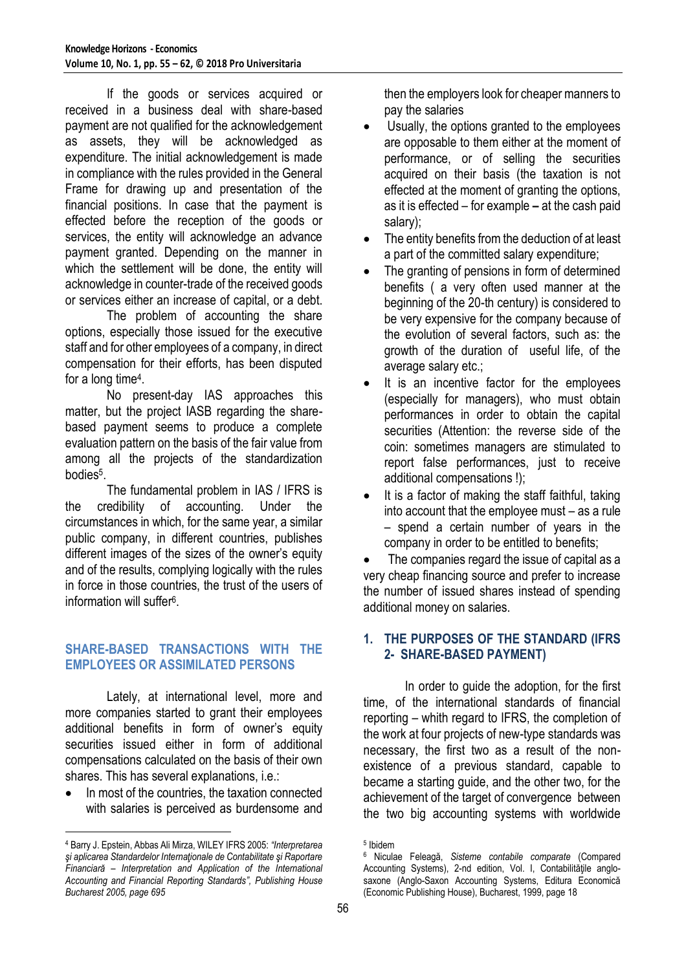If the goods or services acquired or received in a business deal with share-based payment are not qualified for the acknowledgement as assets, they will be acknowledged as expenditure. The initial acknowledgement is made in compliance with the rules provided in the General Frame for drawing up and presentation of the financial positions. In case that the payment is effected before the reception of the goods or services, the entity will acknowledge an advance payment granted. Depending on the manner in which the settlement will be done, the entity will acknowledge in counter-trade of the received goods or services either an increase of capital, or a debt.

The problem of accounting the share options, especially those issued for the executive staff and for other employees of a company, in direct compensation for their efforts, has been disputed for a long time<sup>4</sup> .

No present-day IAS approaches this matter, but the project IASB regarding the sharebased payment seems to produce a complete evaluation pattern on the basis of the fair value from among all the projects of the standardization bodies<sup>5</sup> .

The fundamental problem in IAS / IFRS is the credibility of accounting. Under the circumstances in which, for the same year, a similar public company, in different countries, publishes different images of the sizes of the owner's equity and of the results, complying logically with the rules in force in those countries, the trust of the users of information will suffer<sup>6</sup>.

# **SHARE-BASED TRANSACTIONS WITH THE EMPLOYEES OR ASSIMILATED PERSONS**

Lately, at international level, more and more companies started to grant their employees additional benefits in form of owner's equity securities issued either in form of additional compensations calculated on the basis of their own shares. This has several explanations, i.e.:

 In most of the countries, the taxation connected with salaries is perceived as burdensome and

 $\overline{a}$ 

then the employers look for cheaper manners to pay the salaries

- Usually, the options granted to the employees are opposable to them either at the moment of performance, or of selling the securities acquired on their basis (the taxation is not effected at the moment of granting the options, as it is effected – for example **–** at the cash paid salary);
- The entity benefits from the deduction of at least a part of the committed salary expenditure;
- The granting of pensions in form of determined benefits ( a very often used manner at the beginning of the 20-th century) is considered to be very expensive for the company because of the evolution of several factors, such as: the growth of the duration of useful life, of the average salary etc.;
- It is an incentive factor for the employees (especially for managers), who must obtain performances in order to obtain the capital securities (Attention: the reverse side of the coin: sometimes managers are stimulated to report false performances, just to receive additional compensations !);
- It is a factor of making the staff faithful, taking into account that the employee must – as a rule – spend a certain number of years in the company in order to be entitled to benefits;

 The companies regard the issue of capital as a very cheap financing source and prefer to increase the number of issued shares instead of spending additional money on salaries.

## **1. THE PURPOSES OF THE STANDARD (IFRS 2- SHARE-BASED PAYMENT)**

In order to guide the adoption, for the first time, of the international standards of financial reporting – whith regard to IFRS, the completion of the work at four projects of new-type standards was necessary, the first two as a result of the nonexistence of a previous standard, capable to became a starting guide, and the other two, for the achievement of the target of convergence between the two big accounting systems with worldwide

<sup>4</sup> Barry J. Epstein, Abbas Ali Mirza, WILEY IFRS 2005: *"Interpretarea şi aplicarea Standardelor Internaţionale de Contabilitate şi Raportare Financiară – Interpretation and Application of the International Accounting and Financial Reporting Standards", Publishing House Bucharest 2005, page 695*

<sup>5</sup> Ibidem

<sup>6</sup> Niculae Feleagă, *Sisteme contabile comparate* (Compared Accounting Systems), 2-nd edition, Vol. I, Contabilităţile anglosaxone (Anglo-Saxon Accounting Systems, Editura Economică (Economic Publishing House), Bucharest, 1999, page 18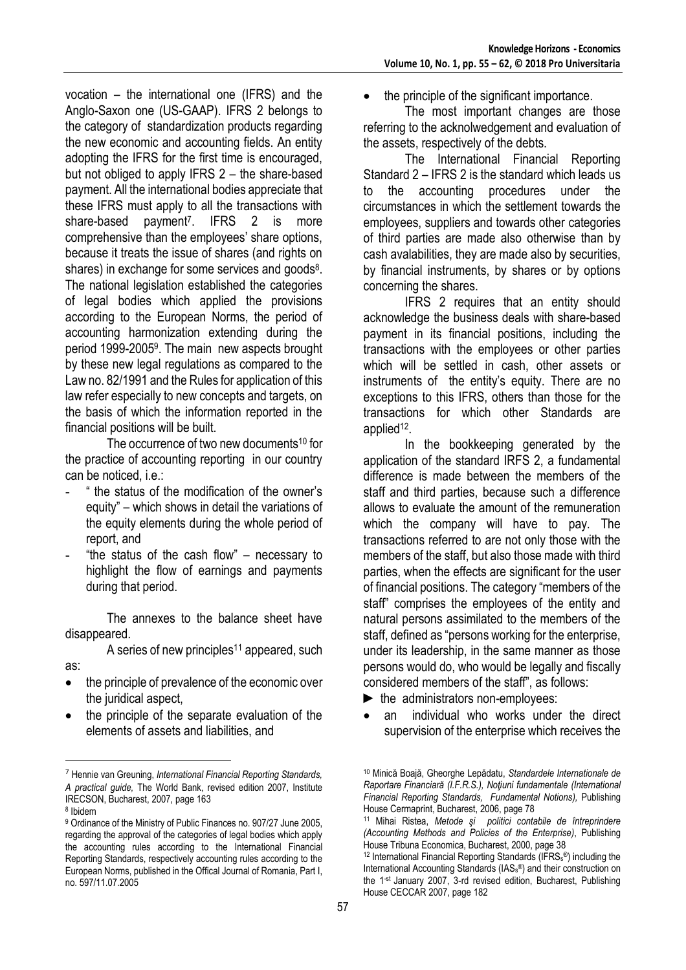vocation – the international one (IFRS) and the Anglo-Saxon one (US-GAAP). IFRS 2 belongs to the category of standardization products regarding the new economic and accounting fields. An entity adopting the IFRS for the first time is encouraged, but not obliged to apply IFRS 2 – the share-based payment. All the international bodies appreciate that these IFRS must apply to all the transactions with share-based payment<sup>7</sup>. IFRS 2 is more comprehensive than the employees' share options, because it treats the issue of shares (and rights on shares) in exchange for some services and goods<sup>8</sup>. The national legislation established the categories of legal bodies which applied the provisions according to the European Norms, the period of accounting harmonization extending during the period 1999-2005<sup>9</sup> . The main new aspects brought by these new legal regulations as compared to the Law no. 82/1991 and the Rules for application of this law refer especially to new concepts and targets, on the basis of which the information reported in the financial positions will be built.

The occurrence of two new documents<sup>10</sup> for the practice of accounting reporting in our country can be noticed, i.e.:

- " the status of the modification of the owner's equity" – which shows in detail the variations of the equity elements during the whole period of report, and
- "the status of the cash flow"  $-$  necessary to highlight the flow of earnings and payments during that period.

The annexes to the balance sheet have disappeared.

A series of new principles<sup>11</sup> appeared, such as:

- the principle of prevalence of the economic over the juridical aspect,
- the principle of the separate evaluation of the elements of assets and liabilities, and

 $\overline{a}$ 

• the principle of the significant importance.

The most important changes are those referring to the acknolwedgement and evaluation of the assets, respectively of the debts.

 The International Financial Reporting Standard 2 – IFRS 2 is the standard which leads us the accounting procedures under the circumstances in which the settlement towards the employees, suppliers and towards other categories of third parties are made also otherwise than by cash avalabilities, they are made also by securities, by financial instruments, by shares or by options concerning the shares.

IFRS 2 requires that an entity should acknowledge the business deals with share-based payment in its financial positions, including the transactions with the employees or other parties which will be settled in cash, other assets or instruments of the entity's equity. There are no exceptions to this IFRS, others than those for the transactions for which other Standards are applied<sup>12</sup>.

In the bookkeeping generated by the application of the standard IRFS 2, a fundamental difference is made between the members of the staff and third parties, because such a difference allows to evaluate the amount of the remuneration which the company will have to pay. The transactions referred to are not only those with the members of the staff, but also those made with third parties, when the effects are significant for the user of financial positions. The category "members of the staff" comprises the employees of the entity and natural persons assimilated to the members of the staff, defined as "persons working for the enterprise, under its leadership, in the same manner as those persons would do, who would be legally and fiscally considered members of the staff", as follows:

- ► the administrators non-employees:
- an individual who works under the direct supervision of the enterprise which receives the

<sup>7</sup> Hennie van Greuning, *International Financial Reporting Standards, A practical guide,* The World Bank, revised edition 2007, Institute IRECSON, Bucharest, 2007, page 163

<sup>8</sup> Ibidem

<sup>9</sup> Ordinance of the Ministry of Public Finances no. 907/27 June 2005, regarding the approval of the categories of legal bodies which apply the accounting rules according to the International Financial Reporting Standards, respectively accounting rules according to the European Norms, published in the Offical Journal of Romania, Part I, no. 597/11.07.2005

<sup>10</sup> Minică Boajă, Gheorghe Lepădatu, *Standardele Internationale de Raportare Financiară (I.F.R.S.), Noţiuni fundamentale (International Financial Reporting Standards, Fundamental Notions),* Publishing House Cermaprint, Bucharest, 2006, page 78

<sup>11</sup> Mihai Ristea, *Metode şi politici contabile de întreprindere (Accounting Methods and Policies of the Enterprise)*, Publishing House Tribuna Economica, Bucharest, 2000, page 38

 $12$  International Financial Reporting Standards (IFRS $_{s}$ ®) including the International Accounting Standards (IAS<sup>s</sup> ®) and their construction on the 1<sup>-st</sup> January 2007, 3-rd revised edition, Bucharest, Publishing House CECCAR 2007, page 182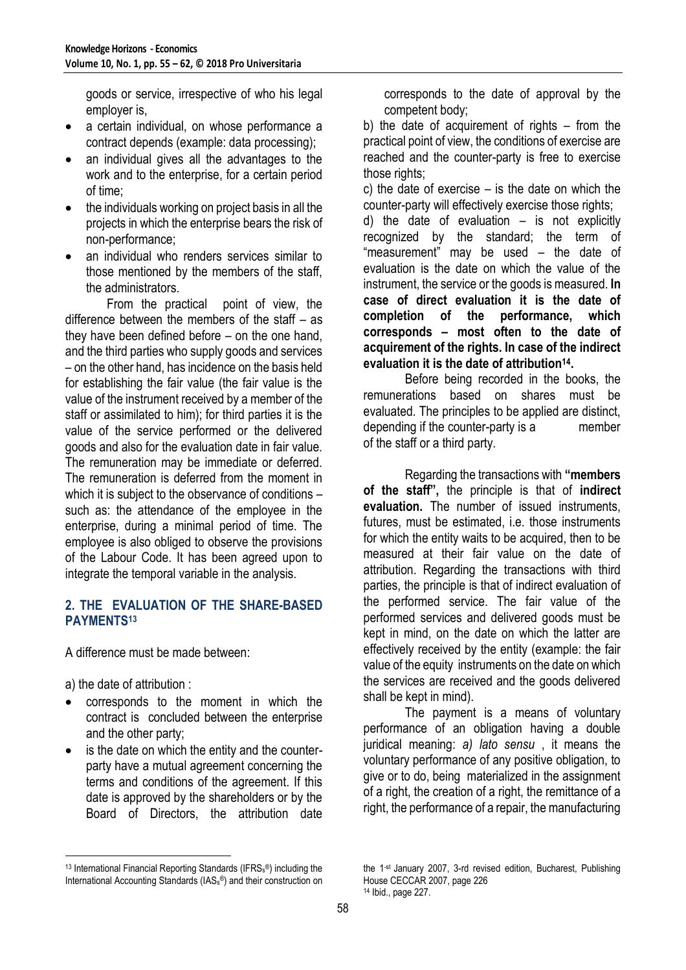goods or service, irrespective of who his legal employer is,

- a certain individual, on whose performance a contract depends (example: data processing);
- an individual gives all the advantages to the work and to the enterprise, for a certain period of time;
- the individuals working on project basis in all the projects in which the enterprise bears the risk of non-performance;
- an individual who renders services similar to those mentioned by the members of the staff, the administrators.

From the practical point of view, the difference between the members of the staff – as they have been defined before – on the one hand, and the third parties who supply goods and services – on the other hand, has incidence on the basis held for establishing the fair value (the fair value is the value of the instrument received by a member of the staff or assimilated to him); for third parties it is the value of the service performed or the delivered goods and also for the evaluation date in fair value. The remuneration may be immediate or deferred. The remuneration is deferred from the moment in which it is subject to the observance of conditions such as: the attendance of the employee in the enterprise, during a minimal period of time. The employee is also obliged to observe the provisions of the Labour Code. It has been agreed upon to integrate the temporal variable in the analysis.

## **2. THE EVALUATION OF THE SHARE-BASED PAYMENTS<sup>13</sup>**

A difference must be made between:

a) the date of attribution :

 $\overline{a}$ 

- corresponds to the moment in which the contract is concluded between the enterprise and the other party;
- is the date on which the entity and the counterparty have a mutual agreement concerning the terms and conditions of the agreement. If this date is approved by the shareholders or by the Board of Directors, the attribution date

corresponds to the date of approval by the competent body;

b) the date of acquirement of rights – from the practical point of view, the conditions of exercise are reached and the counter-party is free to exercise those rights:

c) the date of exercise – is the date on which the counter-party will effectively exercise those rights;

d) the date of evaluation – is not explicitly recognized by the standard; the term of "measurement" may be used – the date of evaluation is the date on which the value of the instrument, the service or the goods is measured. **In case of direct evaluation it is the date of completion of the performance, which corresponds – most often to the date of acquirement of the rights. In case of the indirect evaluation it is the date of attribution<sup>14</sup> .**

Before being recorded in the books, the remunerations based on shares must be evaluated. The principles to be applied are distinct, depending if the counter-party is a member of the staff or a third party.

Regarding the transactions with **"members of the staff",** the principle is that of **indirect evaluation.** The number of issued instruments, futures, must be estimated, i.e. those instruments for which the entity waits to be acquired, then to be measured at their fair value on the date of attribution. Regarding the transactions with third parties, the principle is that of indirect evaluation of the performed service. The fair value of the performed services and delivered goods must be kept in mind, on the date on which the latter are effectively received by the entity (example: the fair value of the equity instruments on the date on which the services are received and the goods delivered shall be kept in mind).

The payment is a means of voluntary performance of an obligation having a double juridical meaning: *a) lato sensu* , it means the voluntary performance of any positive obligation, to give or to do, being materialized in the assignment of a right, the creation of a right, the remittance of a right, the performance of a repair, the manufacturing

<sup>&</sup>lt;sup>13</sup> International Financial Reporting Standards (IFRS $_{s}$ ®) including the International Accounting Standards (IAS<sup>s</sup> ®) and their construction on

the 1-st January 2007, 3-rd revised edition, Bucharest, Publishing House CECCAR 2007, page 226 <sup>14</sup> Ibid., page 227.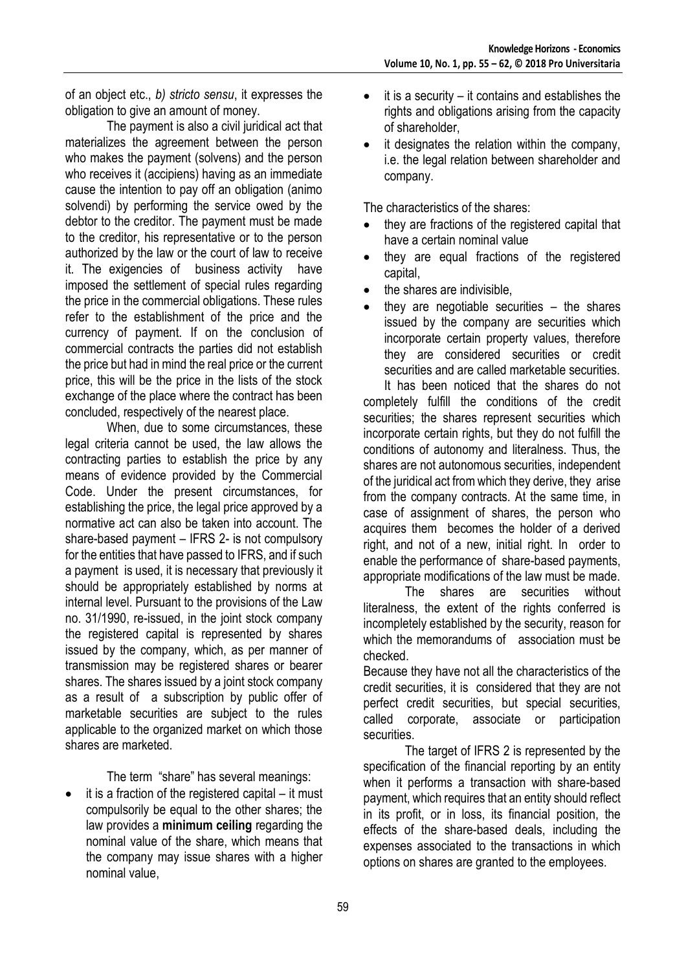of an object etc., *b) stricto sensu*, it expresses the obligation to give an amount of money.

The payment is also a civil juridical act that materializes the agreement between the person who makes the payment (solvens) and the person who receives it (accipiens) having as an immediate cause the intention to pay off an obligation (animo solvendi) by performing the service owed by the debtor to the creditor. The payment must be made to the creditor, his representative or to the person authorized by the law or the court of law to receive it. The exigencies of business activity have imposed the settlement of special rules regarding the price in the commercial obligations. These rules refer to the establishment of the price and the currency of payment. If on the conclusion of commercial contracts the parties did not establish the price but had in mind the real price or the current price, this will be the price in the lists of the stock exchange of the place where the contract has been concluded, respectively of the nearest place.

When, due to some circumstances, these legal criteria cannot be used, the law allows the contracting parties to establish the price by any means of evidence provided by the Commercial Code. Under the present circumstances, for establishing the price, the legal price approved by a normative act can also be taken into account. The share-based payment – IFRS 2- is not compulsory for the entities that have passed to IFRS, and if such a payment is used, it is necessary that previously it should be appropriately established by norms at internal level. Pursuant to the provisions of the Law no. 31/1990, re-issued, in the joint stock company the registered capital is represented by shares issued by the company, which, as per manner of transmission may be registered shares or bearer shares. The shares issued by a joint stock company as a result of a subscription by public offer of marketable securities are subject to the rules applicable to the organized market on which those shares are marketed.

The term "share" has several meanings:

 $\bullet$  it is a fraction of the registered capital – it must compulsorily be equal to the other shares; the law provides a **minimum ceiling** regarding the nominal value of the share, which means that the company may issue shares with a higher nominal value,

- $\bullet$  it is a security it contains and establishes the rights and obligations arising from the capacity of shareholder,
- it designates the relation within the company, i.e. the legal relation between shareholder and company.

The characteristics of the shares:

- they are fractions of the registered capital that have a certain nominal value
- they are equal fractions of the registered capital,
- the shares are indivisible,
- they are negotiable securities  $-$  the shares issued by the company are securities which incorporate certain property values, therefore they are considered securities or credit securities and are called marketable securities.

It has been noticed that the shares do not completely fulfill the conditions of the credit securities; the shares represent securities which incorporate certain rights, but they do not fulfill the conditions of autonomy and literalness. Thus, the shares are not autonomous securities, independent of the juridical act from which they derive, they arise from the company contracts. At the same time, in case of assignment of shares, the person who acquires them becomes the holder of a derived right, and not of a new, initial right. In order to enable the performance of share-based payments, appropriate modifications of the law must be made.

The shares are securities without literalness, the extent of the rights conferred is incompletely established by the security, reason for which the memorandums of association must be checked.

Because they have not all the characteristics of the credit securities, it is considered that they are not perfect credit securities, but special securities, called corporate, associate or participation securities.

The target of IFRS 2 is represented by the specification of the financial reporting by an entity when it performs a transaction with share-based payment, which requires that an entity should reflect in its profit, or in loss, its financial position, the effects of the share-based deals, including the expenses associated to the transactions in which options on shares are granted to the employees.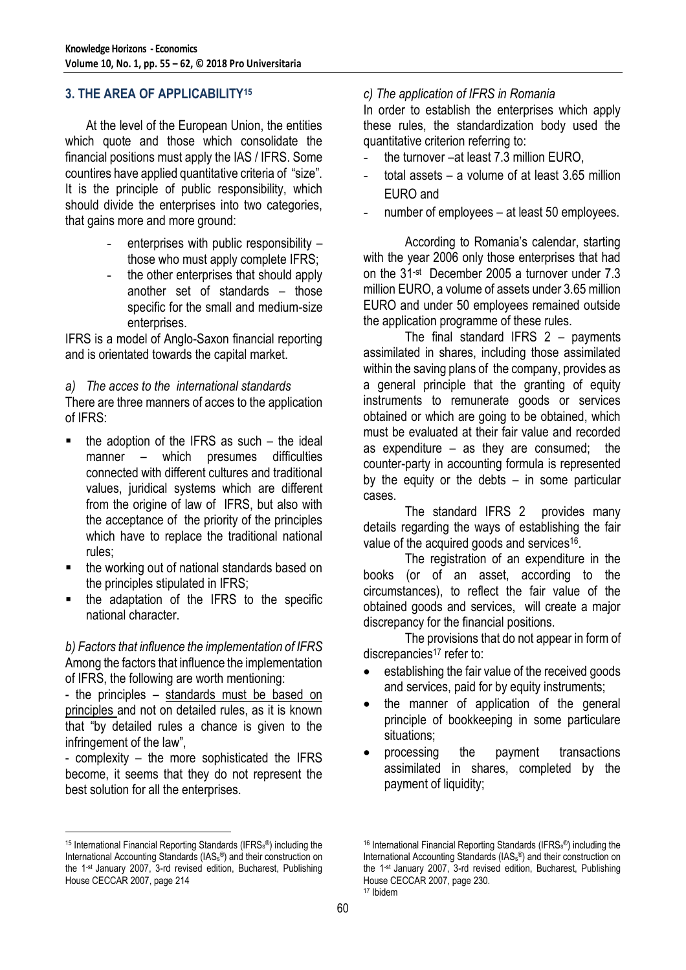#### **3. THE AREA OF APPLICABILITY<sup>15</sup>**

At the level of the European Union, the entities which quote and those which consolidate the financial positions must apply the IAS / IFRS. Some countires have applied quantitative criteria of "size". It is the principle of public responsibility, which should divide the enterprises into two categories, that gains more and more ground:

- enterprises with public responsibility those who must apply complete IFRS;
- the other enterprises that should apply another set of standards – those specific for the small and medium-size enterprises.

IFRS is a model of Anglo-Saxon financial reporting and is orientated towards the capital market.

*a) The acces to the international standards* There are three manners of acces to the application of IFRS:

- $\blacksquare$  the adoption of the IFRS as such the ideal manner – which presumes difficulties connected with different cultures and traditional values, juridical systems which are different from the origine of law of IFRS, but also with the acceptance of the priority of the principles which have to replace the traditional national rules;
- the working out of national standards based on the principles stipulated in IFRS;
- the adaptation of the IFRS to the specific national character.

*b) Factors that influence the implementation of IFRS* Among the factors that influence the implementation of IFRS, the following are worth mentioning:

- the principles – standards must be based on principles and not on detailed rules, as it is known that "by detailed rules a chance is given to the infringement of the law",

- complexity – the more sophisticated the IFRS become, it seems that they do not represent the best solution for all the enterprises.

 $\overline{a}$ 

#### *c) The application of IFRS in Romania*

In order to establish the enterprises which apply these rules, the standardization body used the quantitative criterion referring to:

- the turnover –at least 7.3 million EURO,
- total assets  $-$  a volume of at least 3.65 million EURO and
- number of employees at least 50 employees.

According to Romania's calendar, starting with the year 2006 only those enterprises that had on the 31-st December 2005 a turnover under 7.3 million EURO, a volume of assets under 3.65 million EURO and under 50 employees remained outside the application programme of these rules.

The final standard IFRS  $2 -$  payments assimilated in shares, including those assimilated within the saving plans of the company, provides as a general principle that the granting of equity instruments to remunerate goods or services obtained or which are going to be obtained, which must be evaluated at their fair value and recorded as expenditure – as they are consumed; the counter-party in accounting formula is represented by the equity or the debts – in some particular cases.

The standard IFRS 2 provides many details regarding the ways of establishing the fair value of the acquired goods and services<sup>16</sup>.

The registration of an expenditure in the books (or of an asset, according to the circumstances), to reflect the fair value of the obtained goods and services, will create a major discrepancy for the financial positions.

The provisions that do not appear in form of discrepancies<sup>17</sup> refer to:

- establishing the fair value of the received goods and services, paid for by equity instruments;
- the manner of application of the general principle of bookkeeping in some particulare situations;
- processing the payment transactions assimilated in shares, completed by the payment of liquidity;

<sup>&</sup>lt;sup>15</sup> International Financial Reporting Standards (IFRS<sub>s</sub>®) including the International Accounting Standards (IAS<sup>s</sup> ®) and their construction on the 1-st January 2007, 3-rd revised edition, Bucharest, Publishing House CECCAR 2007, page 214

<sup>&</sup>lt;sup>16</sup> International Financial Reporting Standards (IFRS<sub>s</sub>®) including the International Accounting Standards (IAS<sup>s</sup> ®) and their construction on the 1-st January 2007, 3-rd revised edition, Bucharest, Publishing House CECCAR 2007, page 230. <sup>17</sup> Ibidem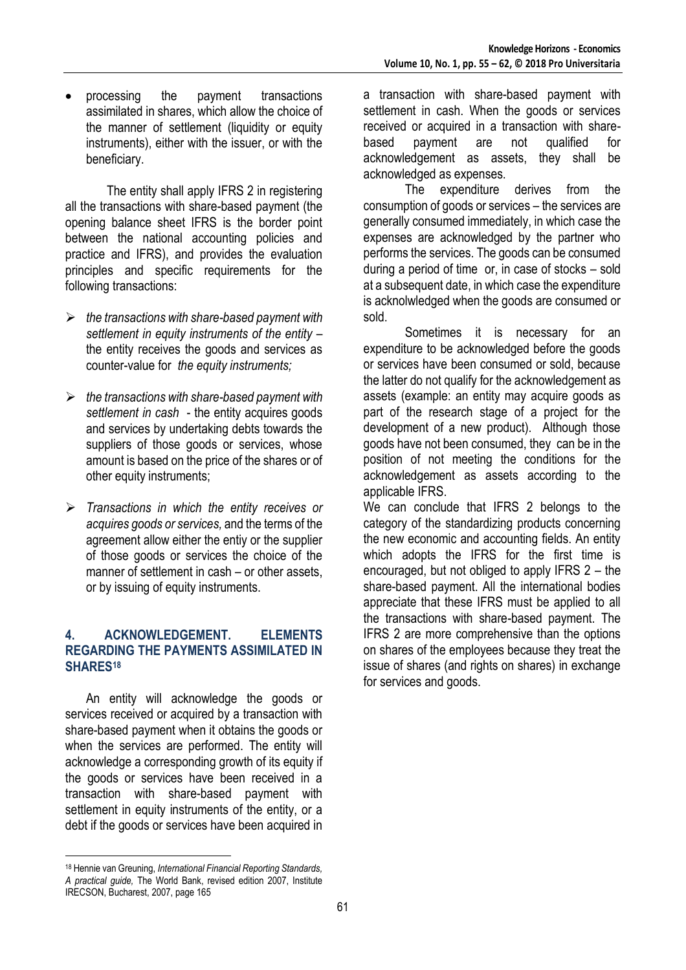processing the payment transactions assimilated in shares, which allow the choice of the manner of settlement (liquidity or equity instruments), either with the issuer, or with the beneficiary.

The entity shall apply IFRS 2 in registering all the transactions with share-based payment (the opening balance sheet IFRS is the border point between the national accounting policies and practice and IFRS), and provides the evaluation principles and specific requirements for the following transactions:

- *the transactions with share-based payment with settlement in equity instruments of the entity –* the entity receives the goods and services as counter-value for *the equity instruments;*
- *the transactions with share-based payment with settlement in cash* - the entity acquires goods and services by undertaking debts towards the suppliers of those goods or services, whose amount is based on the price of the shares or of other equity instruments;
- *Transactions in which the entity receives or acquires goods or services,* and the terms of the agreement allow either the entiy or the supplier of those goods or services the choice of the manner of settlement in cash – or other assets, or by issuing of equity instruments.

#### **4. ACKNOWLEDGEMENT. ELEMENTS REGARDING THE PAYMENTS ASSIMILATED IN SHARES<sup>18</sup>**

An entity will acknowledge the goods or services received or acquired by a transaction with share-based payment when it obtains the goods or when the services are performed. The entity will acknowledge a corresponding growth of its equity if the goods or services have been received in a transaction with share-based payment with settlement in equity instruments of the entity, or a debt if the goods or services have been acquired in

 $\overline{a}$ 

a transaction with share-based payment with settlement in cash. When the goods or services received or acquired in a transaction with sharebased payment are not qualified for acknowledgement as assets, they shall be acknowledged as expenses.

The expenditure derives from the consumption of goods or services – the services are generally consumed immediately, in which case the expenses are acknowledged by the partner who performs the services. The goods can be consumed during a period of time or, in case of stocks – sold at a subsequent date, in which case the expenditure is acknolwledged when the goods are consumed or sold.

Sometimes it is necessary for an expenditure to be acknowledged before the goods or services have been consumed or sold, because the latter do not qualify for the acknowledgement as assets (example: an entity may acquire goods as part of the research stage of a project for the development of a new product). Although those goods have not been consumed, they can be in the position of not meeting the conditions for the acknowledgement as assets according to the applicable IFRS.

We can conclude that IFRS 2 belongs to the category of the standardizing products concerning the new economic and accounting fields. An entity which adopts the IFRS for the first time is encouraged, but not obliged to apply IFRS 2 – the share-based payment. All the international bodies appreciate that these IFRS must be applied to all the transactions with share-based payment. The IFRS 2 are more comprehensive than the options on shares of the employees because they treat the issue of shares (and rights on shares) in exchange for services and goods.

<sup>18</sup> Hennie van Greuning, *International Financial Reporting Standards, A practical guide,* The World Bank, revised edition 2007, Institute IRECSON, Bucharest, 2007, page 165